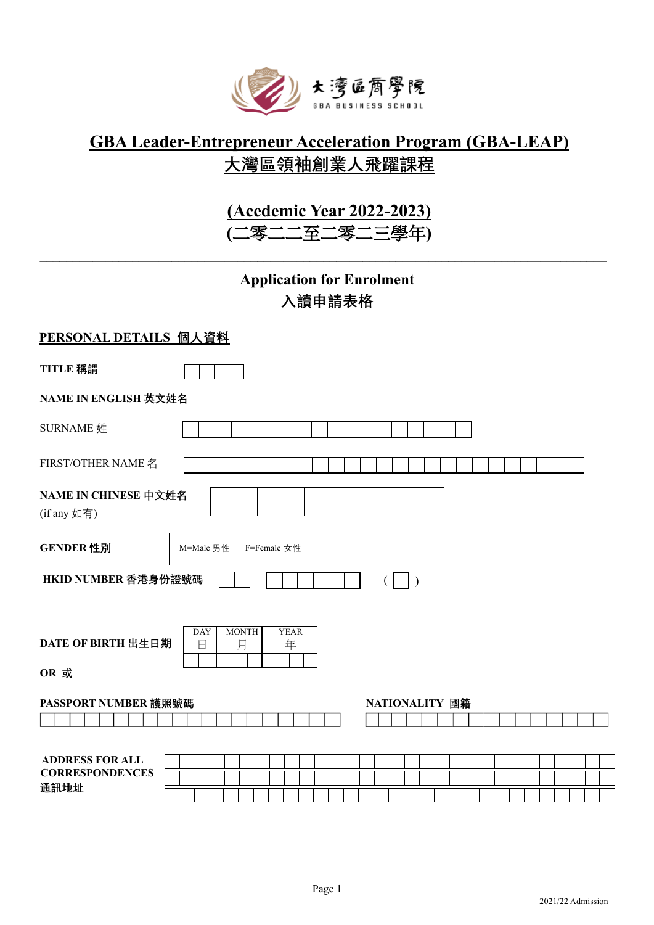

## **GBA Leader-Entrepreneur Acceleration Program (GBA-LEAP) 大灣區領袖創業人飛躍課程**

# **(Acedemic Year 2022-2023)**

**(**二零二二至二零二三學年**)**

 $\_$  , and the set of the set of the set of the set of the set of the set of the set of the set of the set of the set of the set of the set of the set of the set of the set of the set of the set of the set of the set of th

### **Application for Enrolment 入讀申請表格**

#### **PERSONAL DETAILS 個人資料**

| TITLE 稱謂                                                     |                                                          |  |  |  |  |
|--------------------------------------------------------------|----------------------------------------------------------|--|--|--|--|
| NAME IN ENGLISH 英文姓名                                         |                                                          |  |  |  |  |
| SURNAME 姓                                                    |                                                          |  |  |  |  |
| FIRST/OTHER NAME 名                                           |                                                          |  |  |  |  |
| NAME IN CHINESE 中文姓名<br>(if any 如有)                          |                                                          |  |  |  |  |
| GENDER 性別<br>M=Male 男性<br>F=Female 女性<br>HKID NUMBER 香港身份證號碼 |                                                          |  |  |  |  |
| DATE OF BIRTH 出生日期<br>OR 或                                   | <b>DAY</b><br><b>MONTH</b><br><b>YEAR</b><br>月<br>年<br>日 |  |  |  |  |
| PASSPORT NUMBER 護照號碼                                         | NATIONALITY 國籍                                           |  |  |  |  |
| <b>ADDRESS FOR ALL</b><br><b>CORRESPONDENCES</b><br>通訊地址     |                                                          |  |  |  |  |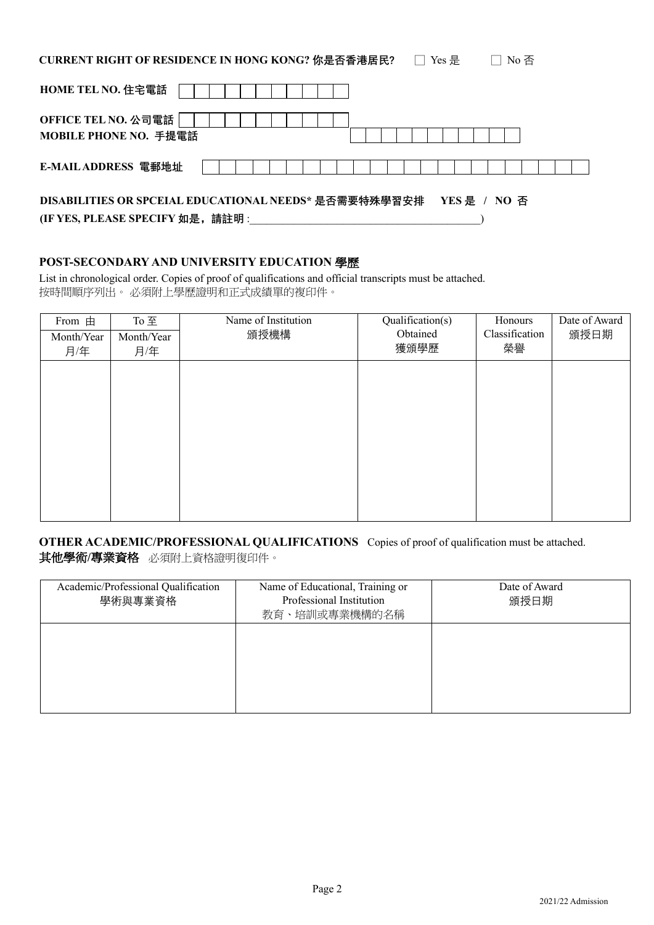CURRENT RIGHT OF RESIDENCE IN HONG KONG? 你是否香港居民? □ Yes 是 □ No 否

| <b>HOME TEL NO. 住宅電話</b>                              |  |  |  |  |  |  |  |  |  |              |  |  |  |
|-------------------------------------------------------|--|--|--|--|--|--|--|--|--|--------------|--|--|--|
| OFFICE TEL NO. 公司電話  <br>MOBILE PHONE NO. 手提電話        |  |  |  |  |  |  |  |  |  |              |  |  |  |
| E-MAIL ADDRESS 電郵地址                                   |  |  |  |  |  |  |  |  |  |              |  |  |  |
| DISABILITIES OR SPCEIAL EDUCATIONAL NEEDS* 是否需要特殊學習安排 |  |  |  |  |  |  |  |  |  | YES 是 / NO 否 |  |  |  |

**(IF YES, PLEASE SPECIFY 如是,請註明** :\_\_\_\_\_\_\_\_\_\_\_\_\_\_\_\_\_\_\_\_\_\_\_\_\_\_\_\_\_\_\_\_\_\_\_\_\_\_\_\_\_\_)

#### **POST-SECONDARY AND UNIVERSITY EDUCATION** 學歷

List in chronological order. Copies of proof of qualifications and official transcripts must be attached. 按時間順序列出。 必須附上學歷證明和正式成績單的複印件。

| From 由     | To 至       | Name of Institution | Qualification(s) | Honours        | Date of Award |
|------------|------------|---------------------|------------------|----------------|---------------|
| Month/Year | Month/Year | 頒授機構                | Obtained         | Classification | 頒授日期          |
| 月/年        | 月/年        |                     | 獲頒學歷             | 榮譽             |               |
|            |            |                     |                  |                |               |
|            |            |                     |                  |                |               |
|            |            |                     |                  |                |               |
|            |            |                     |                  |                |               |
|            |            |                     |                  |                |               |
|            |            |                     |                  |                |               |
|            |            |                     |                  |                |               |
|            |            |                     |                  |                |               |
|            |            |                     |                  |                |               |
|            |            |                     |                  |                |               |

#### **OTHER ACADEMIC/PROFESSIONAL QUALIFICATIONS** Copies of proof of qualification must be attached. 其他學術**/**專業資格必須附上資格證明復印件。

| Academic/Professional Qualification<br>學術與專業資格 | Name of Educational, Training or<br>Professional Institution<br>教育、培訓或專業機構的名稱 | Date of Award<br>頒授日期 |
|------------------------------------------------|-------------------------------------------------------------------------------|-----------------------|
|                                                |                                                                               |                       |
|                                                |                                                                               |                       |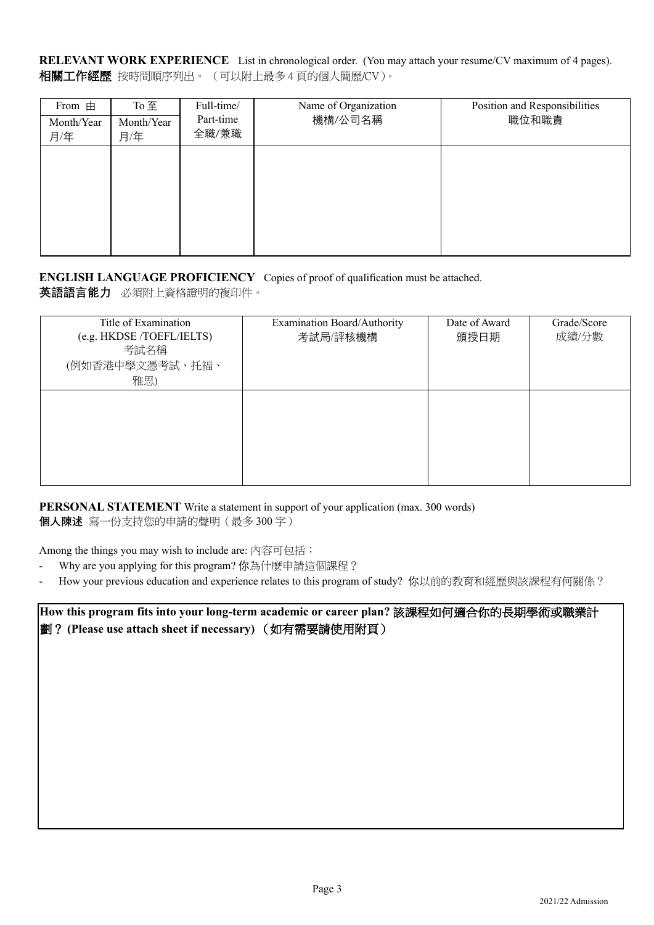**RELEVANT WORK EXPERIENCE** List in chronological order. (You may attach your resume/CV maximum of 4 pages). 相關工作經歷按時間順序列出。 (可以附上最多 4 頁的個人簡歷/CV)。

| From $\pm$<br>Month/Year<br>月/年 | To $\overline{\mathbf{\pm}}$<br>Month/Year<br>月/年 | Full-time/<br>Part-time<br>全職/兼職 | Name of Organization<br>機構/公司名稱 | Position and Responsibilities<br>職位和職責 |
|---------------------------------|---------------------------------------------------|----------------------------------|---------------------------------|----------------------------------------|
|                                 |                                                   |                                  |                                 |                                        |
|                                 |                                                   |                                  |                                 |                                        |

#### **ENGLISH LANGUAGE PROFICIENCY** Copies of proof of qualification must be attached. **英語語言能力** 必須附上資格證明的複印件。

| Title of Examination<br>(e.g. HKDSE /TOEFL/IELTS)<br>考試名稱<br>(例如香港中學文憑考試、托福、<br>雅思) | Examination Board/Authority<br>考試局/評核機構 | Date of Award<br>頒授日期 | Grade/Score<br>成績/分數 |
|-------------------------------------------------------------------------------------|-----------------------------------------|-----------------------|----------------------|
|                                                                                     |                                         |                       |                      |

**PERSONAL STATEMENT** Write a statement in support of your application (max. 300 words) **個人陳述** 寫一份支持您的申請的聲明(最多 300 字)

Among the things you may wish to include are: 內容可包括:

- Why are you applying for this program? 你為什麼申請這個課程?
- How your previous education and experience relates to this program of study? 你以前的教育和經歷與該課程有何關係?

**How this program fits into your long-term academic or career plan?** 該課程如何適合你的長期學術或職業計 劃? **(Please use attach sheet if necessary)** (如有需要請使用附頁)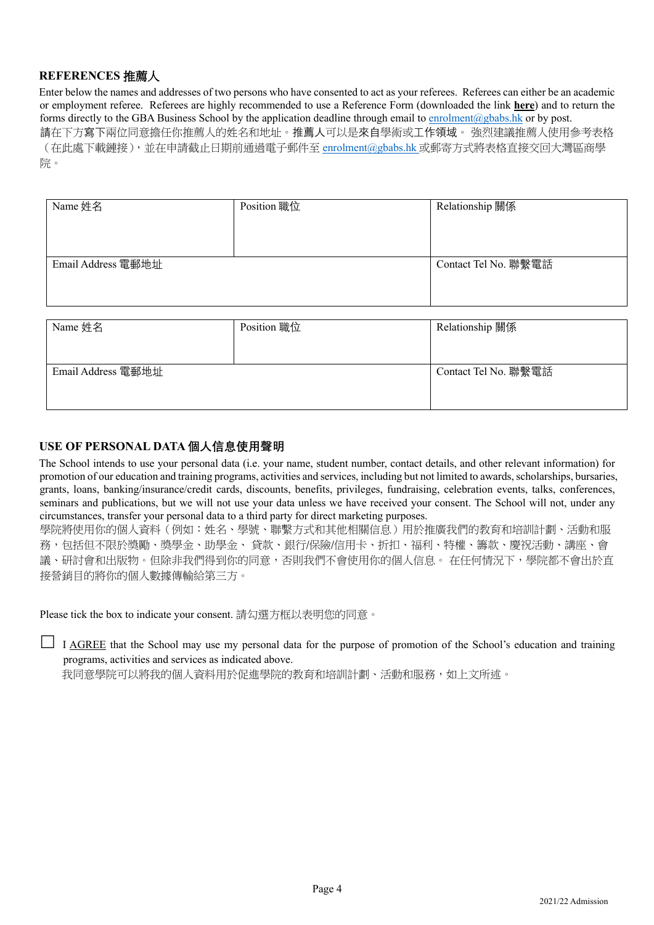#### **REFERENCES** 推薦人

Enter below the names and addresses of two persons who have consented to act as your referees. Referees can either be an academic or employment referee. Referees are highly recommended to use a Reference Form (downloaded the link **here**) and to return the forms directly to the GBA Business School by the application deadline through email to enrolment@gbabs.hk or by post. 請在下方寫下兩位同意擔任你推薦人的姓名和地址。推薦人可以是來自學術或工作領域。 強烈建議推薦人使用參考表格 (在此處下載鏈接),並在申請截止日期前通過電子郵件至 enrolment@gbabs.hk 或郵寄方式將表格直接交回大灣區商學 院。

| Name 姓名            | Position 職位 | Relationship 關係      |
|--------------------|-------------|----------------------|
| Email Address 電郵地址 |             | Contact Tel No. 聯繫電話 |

| Name 姓名            | Position 職位 | Relationship 關係      |
|--------------------|-------------|----------------------|
|                    |             |                      |
|                    |             |                      |
| Email Address 電郵地址 |             | Contact Tel No. 聯繫電話 |
|                    |             |                      |
|                    |             |                      |

#### **USE OF PERSONAL DATA 個人信息使用聲明**

The School intends to use your personal data (i.e. your name, student number, contact details, and other relevant information) for promotion of our education and training programs, activities and services, including but not limited to awards, scholarships, bursaries, grants, loans, banking/insurance/credit cards, discounts, benefits, privileges, fundraising, celebration events, talks, conferences, seminars and publications, but we will not use your data unless we have received your consent. The School will not, under any circumstances, transfer your personal data to a third party for direct marketing purposes.

學院將使用你的個人資料(例如:姓名、學號、聯繫方式和其他相關信息)用於推廣我們的教育和培訓計劃、活動和服 務,包括但不限於獎勵、獎學金、助學金、 貸款、銀行/保險/信用卡、折扣、福利、特權、籌款、慶祝活動、講座、會 議、研討會和出版物。但除非我們得到你的同意,否則我們不會使用你的個人信息。 在任何情況下,學院都不會出於直 接營銷目的將你的個人數據傳輸給第三方。

Please tick the box to indicate your consent. 請勾選方框以表明您的同意。

I AGREE that the School may use my personal data for the purpose of promotion of the School's education and training programs, activities and services as indicated above.

我同意學院可以將我的個人資料用於促進學院的教育和培訓計劃、活動和服務,如上文所述。